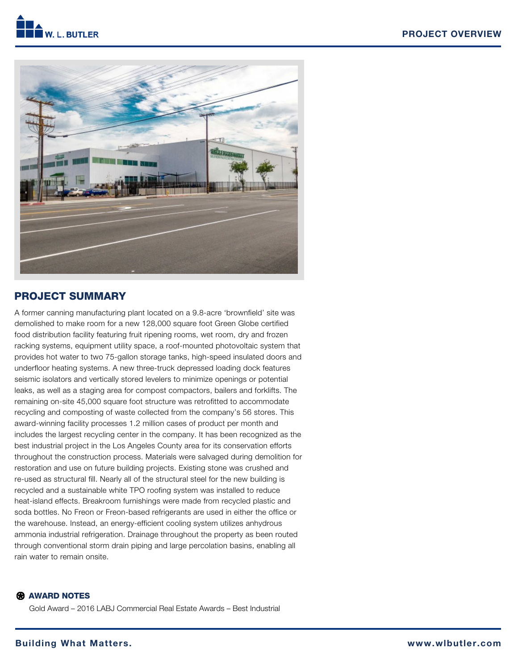



# PROJECT SUMMARY

A former canning manufacturing plant located on a 9.8-acre 'brownfield' site was demolished to make room for a new 128,000 square foot Green Globe certified food distribution facility featuring fruit ripening rooms, wet room, dry and frozen racking systems, equipment utility space, a roof-mounted photovoltaic system that provides hot water to two 75-gallon storage tanks, high-speed insulated doors and underfloor heating systems. A new three-truck depressed loading dock features seismic isolators and vertically stored levelers to minimize openings or potential leaks, as well as a staging area for compost compactors, bailers and forklifts. The remaining on-site 45,000 square foot structure was retrofitted to accommodate recycling and composting of waste collected from the company's 56 stores. This award-winning facility processes 1.2 million cases of product per month and includes the largest recycling center in the company. It has been recognized as the best industrial project in the Los Angeles County area for its conservation efforts throughout the construction process. Materials were salvaged during demolition for restoration and use on future building projects. Existing stone was crushed and re-used as structural fill. Nearly all of the structural steel for the new building is recycled and a sustainable white TPO roofing system was installed to reduce heat-island effects. Breakroom furnishings were made from recycled plastic and soda bottles. No Freon or Freon-based refrigerants are used in either the office or the warehouse. Instead, an energy-efficient cooling system utilizes anhydrous ammonia industrial refrigeration. Drainage throughout the property as been routed through conventional storm drain piping and large percolation basins, enabling all rain water to remain onsite.

### **R** AWARD NOTES

Gold Award – 2016 LABJ Commercial Real Estate Awards – Best Industrial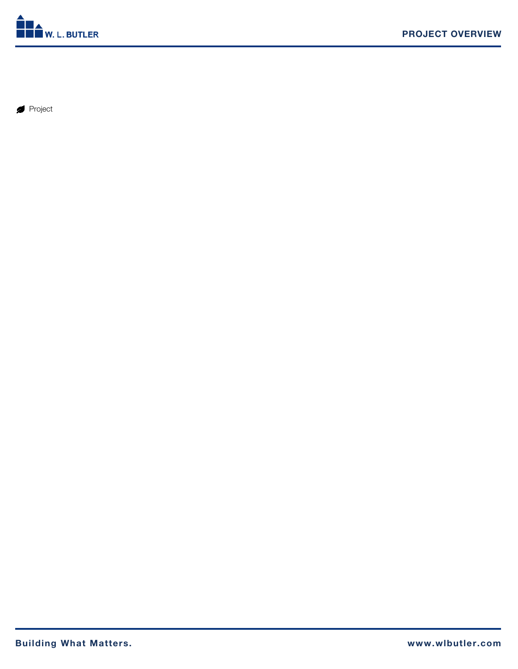

Project